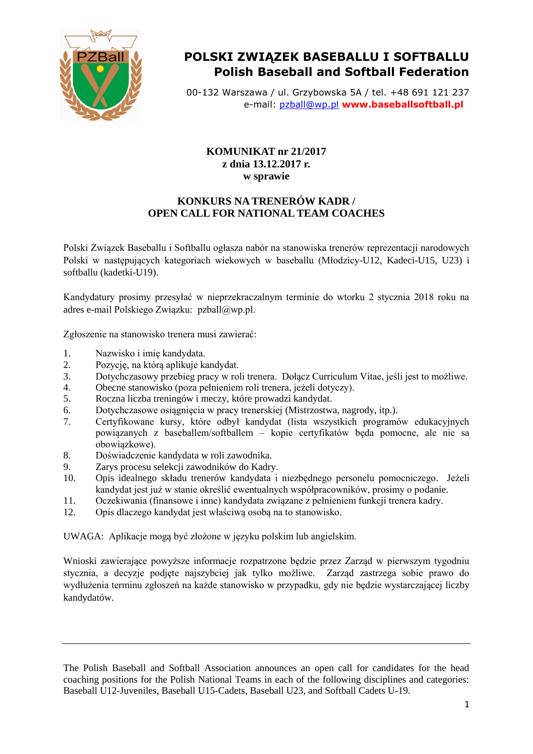

## **POLSKI ZWIĄZEK BASEBALLU I SOFTBALLU Polish Baseball and Softball Federation**

00-132 Warszawa / ul. Grzybowska 5A / tel. +48 691 121 237 e-mail: [pzball@wp.pl](mailto:pzball@wp.pl) **www.baseballsoftball.pl**

## **KOMUNIKAT nr 21/2017 z dnia 13.12.2017 r. w sprawie**

## **KONKURS NA TRENERÓW KADR / OPEN CALL FOR NATIONAL TEAM COACHES**

Polski Związek Baseballu i Softballu ogłasza nabór na stanowiska trenerów reprezentacji narodowych Polski w następujących kategoriach wiekowych w baseballu (Młodzicy-U12, Kadeci-U15, U23) i softballu (kadetki-U19).

Kandydatury prosimy przesyłać w nieprzekraczalnym terminie do wtorku 2 stycznia 2018 roku na adres e-mail Polskiego Związku: pzball@wp.pl.

Zgłoszenie na stanowisko trenera musi zawierać:

- 1. Nazwisko i imię kandydata.
- 2. Pozycję, na którą aplikuje kandydat.
- 3. Dotychczasowy przebieg pracy w roli trenera. Dołącz Curriculum Vitae, jeśli jest to możliwe.
- 4. Obecne stanowisko (poza pełnieniem roli trenera, jeżeli dotyczy).
- 5. Roczna liczba treningów i meczy, które prowadzi kandydat.
- 6. Dotychczasowe osiągnięcia w pracy trenerskiej (Mistrzostwa, nagrody, itp.).
- 7. Certyfikowane kursy, które odbył kandydat (lista wszystkich programów edukacyjnych powiązanych z baseballem/softballem – kopie certyfikatów będa pomocne, ale nie sa obowiązkowe).
- 8. Doświadczenie kandydata w roli zawodnika.
- 9. Zarys procesu selekcji zawodników do Kadry.
- 10. Opis idealnego składu trenerów kandydata i niezbędnego personelu pomocniczego. Jeżeli kandydat jest już w stanie określić ewentualnych współpracowników, prosimy o podanie.
- 11. Oczekiwania (finansowe i inne) kandydata związane z pełnieniem funkcji trenera kadry.
- 12. Opis dlaczego kandydat jest właściwą osobą na to stanowisko.

UWAGA: Aplikacje mogą być złożone w języku polskim lub angielskim.

Wnioski zawierające powyższe informacje rozpatrzone będzie przez Zarząd w pierwszym tygodniu stycznia, a decyzje podjęte najszybciej jak tylko możliwe. Zarząd zastrzega sobie prawo do wydłużenia terminu zgłoszeń na każde stanowisko w przypadku, gdy nie będzie wystarczającej liczby kandydatów.

The Polish Baseball and Softball Association announces an open call for candidates for the head coaching positions for the Polish National Teams in each of the following disciplines and categories: Baseball U12-Juveniles, Baseball U15-Cadets, Baseball U23, and Softball Cadets U-19.